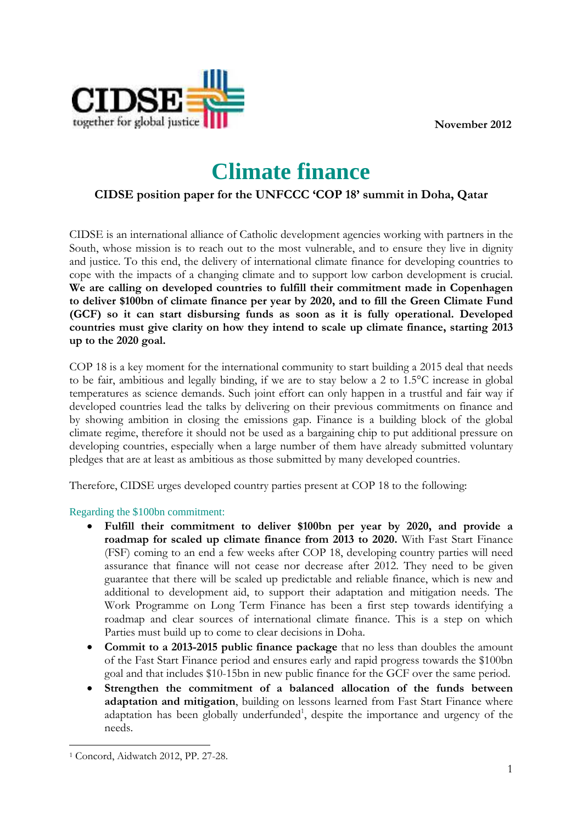**November 2012** 



# **Climate finance**

# **CIDSE position paper for the UNFCCC 'COP 18' summit in Doha, Qatar**

CIDSE is an international alliance of Catholic development agencies working with partners in the South, whose mission is to reach out to the most vulnerable, and to ensure they live in dignity and justice. To this end, the delivery of international climate finance for developing countries to cope with the impacts of a changing climate and to support low carbon development is crucial. **We are calling on developed countries to fulfill their commitment made in Copenhagen to deliver \$100bn of climate finance per year by 2020, and to fill the Green Climate Fund (GCF) so it can start disbursing funds as soon as it is fully operational. Developed countries must give clarity on how they intend to scale up climate finance, starting 2013 up to the 2020 goal.** 

COP 18 is a key moment for the international community to start building a 2015 deal that needs to be fair, ambitious and legally binding, if we are to stay below a 2 to 1.5°C increase in global temperatures as science demands. Such joint effort can only happen in a trustful and fair way if developed countries lead the talks by delivering on their previous commitments on finance and by showing ambition in closing the emissions gap. Finance is a building block of the global climate regime, therefore it should not be used as a bargaining chip to put additional pressure on developing countries, especially when a large number of them have already submitted voluntary pledges that are at least as ambitious as those submitted by many developed countries.

Therefore, CIDSE urges developed country parties present at COP 18 to the following:

## Regarding the \$100bn commitment:

- **Fulfill their commitment to deliver \$100bn per year by 2020, and provide a roadmap for scaled up climate finance from 2013 to 2020.** With Fast Start Finance (FSF) coming to an end a few weeks after COP 18, developing country parties will need assurance that finance will not cease nor decrease after 2012. They need to be given guarantee that there will be scaled up predictable and reliable finance, which is new and additional to development aid, to support their adaptation and mitigation needs. The Work Programme on Long Term Finance has been a first step towards identifying a roadmap and clear sources of international climate finance. This is a step on which Parties must build up to come to clear decisions in Doha.
- **Commit to a 2013-2015 public finance package** that no less than doubles the amount of the Fast Start Finance period and ensures early and rapid progress towards the \$100bn goal and that includes \$10-15bn in new public finance for the GCF over the same period.
- **Strengthen the commitment of a balanced allocation of the funds between adaptation and mitigation**, building on lessons learned from Fast Start Finance where adaptation has been globally underfunded<sup>1</sup>, despite the importance and urgency of the needs.

 $\overline{a}$ 1 Concord, Aidwatch 2012, PP. 27-28.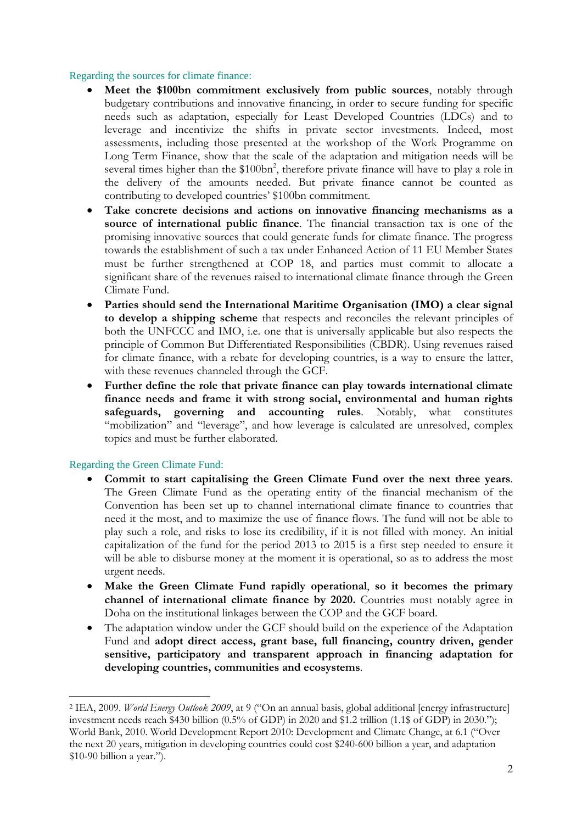## Regarding the sources for climate finance:

- **Meet the \$100bn commitment exclusively from public sources**, notably through budgetary contributions and innovative financing, in order to secure funding for specific needs such as adaptation, especially for Least Developed Countries (LDCs) and to leverage and incentivize the shifts in private sector investments. Indeed, most assessments, including those presented at the workshop of the Work Programme on Long Term Finance, show that the scale of the adaptation and mitigation needs will be several times higher than the \$100bn<sup>2</sup>, therefore private finance will have to play a role in the delivery of the amounts needed. But private finance cannot be counted as contributing to developed countries' \$100bn commitment.
- **Take concrete decisions and actions on innovative financing mechanisms as a source of international public finance**. The financial transaction tax is one of the promising innovative sources that could generate funds for climate finance. The progress towards the establishment of such a tax under Enhanced Action of 11 EU Member States must be further strengthened at COP 18, and parties must commit to allocate a significant share of the revenues raised to international climate finance through the Green Climate Fund.
- **Parties should send the International Maritime Organisation (IMO) a clear signal to develop a shipping scheme** that respects and reconciles the relevant principles of both the UNFCCC and IMO, i.e. one that is universally applicable but also respects the principle of Common But Differentiated Responsibilities (CBDR). Using revenues raised for climate finance, with a rebate for developing countries, is a way to ensure the latter, with these revenues channeled through the GCF.
- **Further define the role that private finance can play towards international climate finance needs and frame it with strong social, environmental and human rights safeguards, governing and accounting rules**. Notably, what constitutes "mobilization" and "leverage", and how leverage is calculated are unresolved, complex topics and must be further elaborated.

#### Regarding the Green Climate Fund:

 $\overline{a}$ 

- **Commit to start capitalising the Green Climate Fund over the next three years**. The Green Climate Fund as the operating entity of the financial mechanism of the Convention has been set up to channel international climate finance to countries that need it the most, and to maximize the use of finance flows. The fund will not be able to play such a role, and risks to lose its credibility, if it is not filled with money. An initial capitalization of the fund for the period 2013 to 2015 is a first step needed to ensure it will be able to disburse money at the moment it is operational, so as to address the most urgent needs.
- **Make the Green Climate Fund rapidly operational**, **so it becomes the primary channel of international climate finance by 2020.** Countries must notably agree in Doha on the institutional linkages between the COP and the GCF board.
- The adaptation window under the GCF should build on the experience of the Adaptation Fund and **adopt direct access, grant base, full financing, country driven, gender sensitive, participatory and transparent approach in financing adaptation for developing countries, communities and ecosystems**.

<sup>2</sup> IEA, 2009. *World Energy Outlook 2009*, at 9 ("On an annual basis, global additional [energy infrastructure] investment needs reach \$430 billion (0.5% of GDP) in 2020 and \$1.2 trillion (1.1\$ of GDP) in 2030."); World Bank, 2010. World Development Report 2010: Development and Climate Change, at 6.1 ("Over the next 20 years, mitigation in developing countries could cost \$240-600 billion a year, and adaptation \$10-90 billion a year.").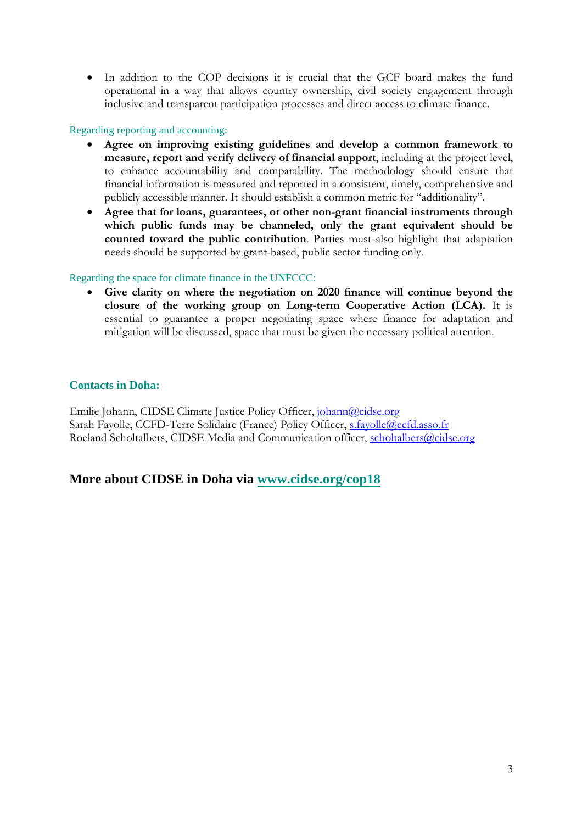In addition to the COP decisions it is crucial that the GCF board makes the fund operational in a way that allows country ownership, civil society engagement through inclusive and transparent participation processes and direct access to climate finance.

## Regarding reporting and accounting:

- **Agree on improving existing guidelines and develop a common framework to measure, report and verify delivery of financial support**, including at the project level, to enhance accountability and comparability. The methodology should ensure that financial information is measured and reported in a consistent, timely, comprehensive and publicly accessible manner. It should establish a common metric for "additionality".
- **Agree that for loans, guarantees, or other non-grant financial instruments through which public funds may be channeled, only the grant equivalent should be counted toward the public contribution**. Parties must also highlight that adaptation needs should be supported by grant-based, public sector funding only.

## Regarding the space for climate finance in the UNFCCC:

 **Give clarity on where the negotiation on 2020 finance will continue beyond the closure of the working group on Long-term Cooperative Action (LCA).** It is essential to guarantee a proper negotiating space where finance for adaptation and mitigation will be discussed, space that must be given the necessary political attention.

## **Contacts in Doha:**

Emilie Johann, CIDSE Climate Justice Policy Officer, johann@cidse.org Sarah Fayolle, CCFD-Terre Solidaire (France) Policy Officer, s.fayolle@ccfd.asso.fr Roeland Scholtalbers, CIDSE Media and Communication officer, scholtalbers@cidse.org

## **More about CIDSE in Doha via www.cidse.org/cop18**